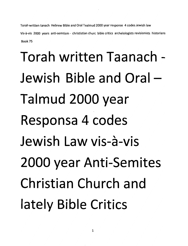*Torah written tanach Hebrew Bibleand Oral Taalmud 2000 year response 4 codes Jewish law Vis-a-vis 2000 years anti-semtism - christistian churc bible critics archelologists revisionists historians Book 75*

# Torah written Taanach - Jewish Bible and Oral -Talmud 2000 year Responsa 4 codes Jewish Law vis-a-vis 2000 year Anti-Semites Christian Church and lately Bible Critics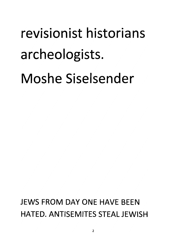# *revisionist historians archeologists.*

*Moshe Siselsender*

*JEWS FROM DAY ONE HAVE BEEN HATED. ANTISEMITES STEAL JEWISH*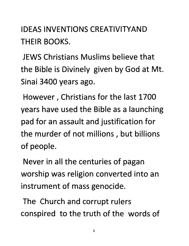#### *IDEAS INVENTIONS CREATIVITYAND THEIR BOOKS.*

*JEWS Christians Muslims believe that the Bible is Divinely given by God at Mt. Sinai 3400 years ago.*

*However, Christians for the last 1700 years have used the Bible as a launching pad for an assault and justification for the murder of not millions, but billions of people.*

*Never in all the centuries of pagan worship was religion converted into an instrument of mass genocide.*

*The Church and corrupt rulers conspired to the truth of the words of*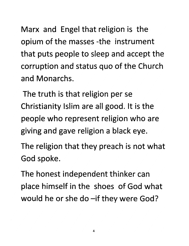*Marx and Engel that religion is the opium of the masses -the instrument that puts people to sleep and accept the corruption and status quo of the Church and Monarchs.*

*The truth is that religion per se Christianity Islim are all good. It is the people who represent religion who are giving and gave religion a black eye.*

*The religion that they preach is not what God spoke.*

*The honest independent thinker can place himself in the shoes of God what would he or she do -if they were God?*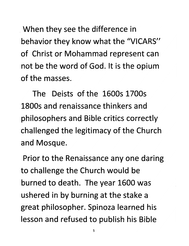*When they see the difference in behavior they know what the "VICARS" of Christ or Mohammad represent can not be the word of God. It is the opium of the masses.*

*The Deists of the 1600s 1700s 1800s and renaissance thinkers and philosophers and Bible critics correctly challenged the legitimacy of the Church and Mosque.*

*Prior to the Renaissance any one daring to challenge the Church would be burned to death. The year 1600 was ushered in by burning at the stake a great philosopher. Spinoza learned his lesson and refused to publish his Bible*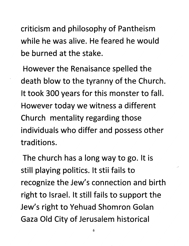*criticism and philosophy of Pantheism while he was alive. He feared he would be burned at the stake.*

*However the Renaisance spelled the death blow to the tyranny of the Church. It took 300 years for this monster to fall. However today we witness a different Church mentality regarding those individuals who differ and possess other traditions.*

*The church has a long way to go. It is still playing politics. It stii fails to recognize the Jew's connection and birth right to Israel. It still fails to support the Jew's right to Yehuad Shomron Golan Gaza Old City of Jerusalem historical*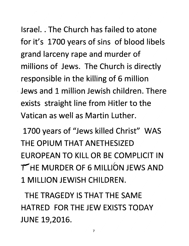*Israel. .The Church has failed to atone for it's 1700 years of sins of blood libels grand larceny rape and murder of millions of Jews. The Church is directly responsible in the killing of 6 million Jews and 1 million Jewish children. There exists straight line from Hitler to the Vatican as well as Martin Luther.*

*1700 years of "Jews killed Christ" WAS THE OPIUM THAT ANETHESIZED EUROPEAN TO KILL OR BE COMPLICIT IN •THE MURDER OF 6 MILLION JEWS AND 1 MILLION JEWISH CHILDREN.*

*THE TRAGEDY IS THAT THE SAME HATRED FOR THE JEW EXISTS TODAY JUNE 19,2016.*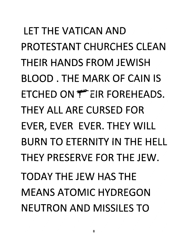*LET THE VATICAN AND PROTESTANT CHURCHES CLEAN THEIR HANDS FROM JEWISH BLOOD . THE MARK OF CAIN IS ETCHED ON f"EIR FOREHEADS. THEY ALL ARE CURSED FOR EVER, EVER EVER. THEY WILL BURN TO ETERNITY IN THE HELL THEY PRESERVE FOR THE JEW. TODAY THE JEW HAS THE MEANS ATOMIC HYDREGON NEUTRON AND MISSILES TO*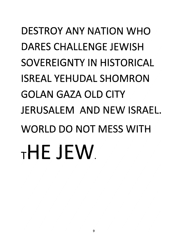### *DESTROY ANY NATION WHO DARES CHALLENGE JEWISH SOVEREIGNTY IN HISTORICAL ISREAL YEHUDAL SHOMRON GOLAN GAZA OLD CITY JERUSALEM AND NEW ISRAEL WORLD DO NOT MESS WITH tHEJEW*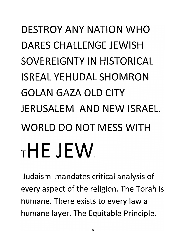### *DESTROY ANY NATION WHO DARES CHALLENGE JEWISH SOVEREIGNTY IN HISTORICAL ISREAL YEHUDAL SHOMRON GOLAN GAZA OLD CITY JERUSALEM AND NEW ISRAEL WORLD DO NOT MESS WITH <sup>T</sup> HE JEW*

Judaism mandates critical analysis of every aspect of the religion. The Torah is humane. There exists to every law a humane layer. The Equitable Principle.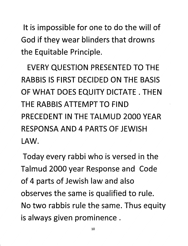*It is impossible for one to do the will of God if they wear blinders that drowns the Equitable Principle.*

*EVERY QUESTION PRESENTED TO THE RABBIS IS FIRST DECIDED ON THE BASIS OF WHAT DOES EQUITY DICTATE . THEN THE RABBIS ATTEMPT TO FIND PRECEDENT IN THE TALMUD 2000 YEAR RESPONSA AND 4 PARTS OF JEWISH LAW.*

*Today every rabbi who is versed in the Talmud 2000 year Response and Code of 4 parts of Jewish law and also observes the same is qualified to rule. No two rabbis rule the same. Thus equity is always given prominence .*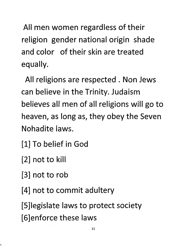*All men women regardless of their religion gender national origin shade and color of their skin are treated equally.*

*All religions are respected . Non Jews can believe in the Trinity. Judaism believes all men of all religions will go to heaven, as long as, they obey the Seven Nohadite laws.*

*1] To belief in God*

*2] not to kill*

*3] not to rob*

*4] not to commit adultery*

*5]legislate laws to protect society 6]enforce these laws*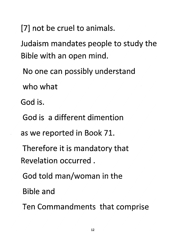[7] not be cruel to animals.

Judaism mandates people to study the Bible with an open mind.

No one can possibly understand

who what

God is.

- God is a different dimention
- as we reported in Book 71.
- Therefore it is mandatory that Revelation occurred .
- God told man/woman in the

Bible and

Ten Commandments that comprise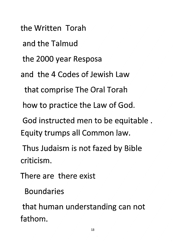*the Written Torah*

*and the Talmud*

*the 2000 year Resposa*

*and the 4 Codes of Jewish Law*

*that comprise The Oral Torah*

*how to practice the Law of God.*

*God instructed men to be equitable . Equity trumps all Common law.*

*Thus Judaism is not fazed by Bible criticism.*

*There are there exist*

*Boundaries*

*that human understanding can not fathom.*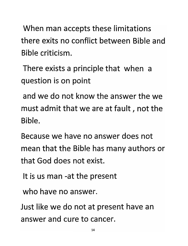When man accepts these limitations there exits no conflict between Bible and Bible criticism.

There exists a principle that when a question is on point

and we do not know the answer the we must admit that we are at fault, not the Bible.

Because we have no answer does not mean that the Bible has many authors or that God does not exist.

It is us man -at the present

who have no answer.

Just like we do not at present have an answer and cure to cancer.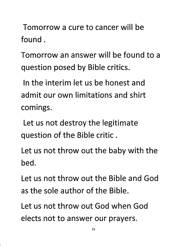Tomorrow a cure to cancer will be found .

Tomorrow an answer will be found to a question posed by Bible critics.

In the interim let us be honest and admit our own limitations and shirt comings.

Let us not destroy the legitimate question of the Bible critic .

Let us not throw out the baby with the bed.

Let us not throw out the Bible and God as the sole author of the Bible.

Let us not throw out God when God elects not to answer our prayers.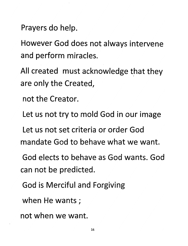Prayers do help.

However God does not always intervene and perform miracles.

All created must acknowledge that they are only the Created,

not the Creator.

Let us not try to mold God in our image

Let us not set criteria or order God mandate God to behave what we want.

God elects to behave as God wants. God can not be predicted.

God is Merciful and Forgiving

when He wants;

not when we want.